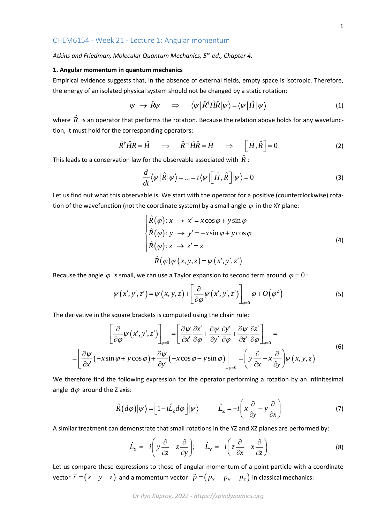## CHEM6154 - Week 21 - Lecture 1: Angular momentum

*Atkins and Friedman, Molecular Quantum Mechanics, 5th ed., Chapter 4.*

## **1. Angular momentum in quantum mechanics**

Empirical evidence suggests that, in the absence of external fields, empty space is isotropic. Therefore, the energy of an isolated physical system should not be changed by a static rotation:

$$
\psi \rightarrow \hat{R}\psi \quad \Rightarrow \quad \langle \psi | \hat{R}^{\dagger} \hat{H} \hat{R} | \psi \rangle = \langle \psi | \hat{H} | \psi \rangle \tag{1}
$$

where  $\hat{R}$  is an operator that performs the rotation. Because the relation above holds for any wavefunction, it must hold for the corresponding operators:

$$
\hat{R}^{\dagger}\hat{H}\hat{R} = \hat{H} \quad \Rightarrow \quad \hat{R}^{-1}\hat{H}\hat{R} = \hat{H} \quad \Rightarrow \quad \left[\hat{H},\hat{R}\right] = 0 \tag{2}
$$

This leads to a conservation law for the observable associated with  $R$  :

$$
\frac{d}{dt}\langle \psi | \hat{R} | \psi \rangle = ... = i \langle \psi | \left[ \hat{H}, \hat{R} \right] | \psi \rangle = 0 \tag{3}
$$

Let us find out what this observable is. We start with the operator for a positive (counterclockwise) rotation of the wavefunction (not the coordinate system) by a small angle  $\varphi$  in the XY plane:

$$
\begin{cases}\n\hat{R}(\varphi): x \to x' = x\cos\varphi + y\sin\varphi \\
\hat{R}(\varphi): y \to y' = -x\sin\varphi + y\cos\varphi \\
\hat{R}(\varphi): z \to z' = z \\
\hat{R}(\varphi)\psi(x, y, z) = \psi(x', y', z')\n\end{cases}
$$
\n(4)

Because the angle  $\varphi$  is small, we can use a Taylor expansion to second term around  $\varphi = 0$  :

$$
\psi(x', y', z') = \psi(x, y, z) + \left[\frac{\partial}{\partial \varphi} \psi(x', y', z')\right]_{\varphi=0} \varphi + O(\varphi^2)
$$
 (5)

The derivative in the square brackets is computed using the chain rule:

$$
\left[\frac{\partial}{\partial \varphi}\psi(x',y',z')\right]_{\varphi=0} = \left[\frac{\partial \psi}{\partial x'}\frac{\partial x'}{\partial \varphi} + \frac{\partial \psi}{\partial y'}\frac{\partial y'}{\partial \varphi} + \frac{\partial \psi}{\partial z'}\frac{\partial z'}{\partial \varphi}\right]_{\varphi=0} = \left[\frac{\partial \psi}{\partial x'}(-x\sin\varphi + y\cos\varphi) + \frac{\partial \psi}{\partial y'}(-x\cos\varphi - y\sin\varphi)\right]_{\varphi=0} = \left(y\frac{\partial}{\partial x} - x\frac{\partial}{\partial y}\right)\psi(x,y,z)
$$
\n(6)

We therefore find the following expression for the operator performing a rotation by an infinitesimal angle  $d\varphi$  around the Z axis:

$$
\hat{R}(d\varphi)|\psi\rangle = \left[1 - i\hat{L}_z d\varphi\right]|\psi\rangle \qquad \hat{L}_z = -i\left(x\frac{\partial}{\partial y} - y\frac{\partial}{\partial x}\right) \tag{7}
$$

A similar treatment can demonstrate that small rotations in the YZ and XZ planes are performed by:  
\n
$$
\hat{L}_X = -i \left( y \frac{\partial}{\partial z} - z \frac{\partial}{\partial y} \right); \quad \hat{L}_Y = -i \left( z \frac{\partial}{\partial x} - x \frac{\partial}{\partial z} \right)
$$
\n(8)

Let us compare these expressions to those of angular momentum of a point particle with a coordinate vector  $\vec{r} = (x \quad y \quad z)$  and a momentum vector  $\vec{p} = (p_\text{X} \quad p_\text{Y} \quad p_\text{Z})$  in classical mechanics: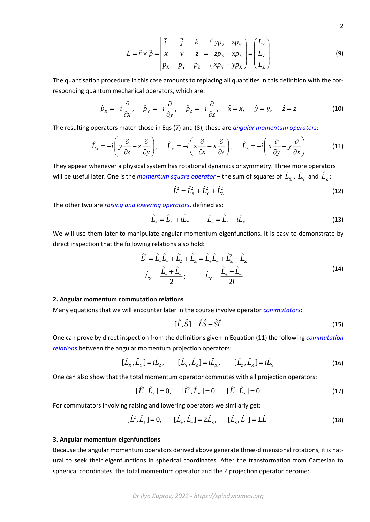$$
\vec{L} = \vec{r} \times \vec{p} = \begin{vmatrix} \vec{i} & \vec{j} & \vec{k} \\ x & y & z \\ p_x & p_y & p_z \end{vmatrix} = \begin{pmatrix} yp_z - zp_y \\ zp_x - xp_z \\ xp_y - yp_x \end{pmatrix} = \begin{pmatrix} L_x \\ L_y \\ L_z \end{pmatrix}
$$
(9)

The quantisation procedure in this case amounts to replacing all quantities in this definition with the cor-<br>responding quantum mechanical operators, which are:<br> $\hat{p}_x = -i \frac{\partial}{\partial x}, \quad \hat{p}_y = -i \frac{\partial}{\partial y}, \quad \hat{p}_z = -i \frac{\partial}{\partial y}, \$ 

responding quantum mechanical operators, which are:  
\n
$$
\hat{p}_X = -i \frac{\partial}{\partial x}, \quad \hat{p}_Y = -i \frac{\partial}{\partial y}, \quad \hat{p}_Z = -i \frac{\partial}{\partial z}, \quad \hat{x} = x, \quad \hat{y} = y, \quad \hat{z} = z
$$
\n(10)

The resulting operators match those in Eqs (7) and (8), these are *angular momentum operators*:

$$
\hat{L}_x = -i \left( y \frac{\partial}{\partial z} - z \frac{\partial}{\partial y} \right); \quad \hat{L}_y = -i \left( z \frac{\partial}{\partial x} - x \frac{\partial}{\partial z} \right); \quad \hat{L}_z = -i \left( x \frac{\partial}{\partial y} - y \frac{\partial}{\partial x} \right)
$$
(11)

They appear whenever a physical system has rotational dynamics or symmetry. Three more operators will be useful later. One is the *momentum square operator* – the sum of squares of  $\hat L_\chi$  ,  $\hat L_\gamma$  and  $\hat L_\mathrm{Z}$ :

$$
\hat{L}^2 = \hat{L}_X^2 + \hat{L}_Y^2 + \hat{L}_Z^2 \tag{12}
$$

The other two are *raising and lowering operators*, defined as:

$$
\hat{L}_{+} = \hat{L}_{\mathrm{X}} + i\hat{L}_{\mathrm{Y}} \qquad \hat{L}_{-} = \hat{L}_{\mathrm{X}} - i\hat{L}_{\mathrm{Y}} \tag{13}
$$

We will use them later to manipulate angular momentum eigenfunctions. It is easy to demonstrate by direct inspection that the following relations also hold:

$$
\hat{L}^{2} = \hat{L}_{-}\hat{L}_{+} + \hat{L}_{z}^{2} + \hat{L}_{z} = \hat{L}_{+}\hat{L}_{-} + \hat{L}_{z}^{2} - \hat{L}_{z}
$$
\n
$$
\hat{L}_{x} = \frac{\hat{L}_{+} + \hat{L}_{-}}{2}; \qquad \hat{L}_{y} = \frac{\hat{L}_{+} - \hat{L}_{-}}{2i}
$$
\n(14)

## **2. Angular momentum commutation relations**

Many equations that we will encounter later in the course involve operator *commutators*:

$$
[\hat{L}, \hat{S}] = \hat{L}\hat{S} - \hat{S}\hat{L}
$$
\n(15)

One can prove by direct inspection from the definitions given in Equation (11) the following *commutation relations* between the angular momentum projection operators:

$$
[\hat{L}_X, \hat{L}_Y] = i\hat{L}_Z, \qquad [\hat{L}_Y, \hat{L}_Z] = i\hat{L}_X, \qquad [\hat{L}_Z, \hat{L}_X] = i\hat{L}_Y
$$
\n(16)

One can also show that the total momentum operator commutes with all projection operators:

$$
[\hat{L}^2, \hat{L}_X] = 0, \quad [\hat{L}^2, \hat{L}_Y] = 0, \quad [\hat{L}^2, \hat{L}_Z] = 0 \tag{17}
$$

For commutators involving raising and lowering operators we similarly get:  
\n
$$
[\hat{L}^2, \hat{L}_{\pm}] = 0, \qquad [\hat{L}_{\pm}, \hat{L}_{\pm}] = 2\hat{L}_{Z}, \qquad [\hat{L}_{Z}, \hat{L}_{\pm}] = \pm \hat{L}_{\pm}
$$
\n(18)

## **3. Angular momentum eigenfunctions**

Because the angular momentum operators derived above generate three-dimensional rotations, it is natural to seek their eigenfunctions in spherical coordinates. After the transformation from Cartesian to spherical coordinates, the total momentum operator and the Z projection operator become: